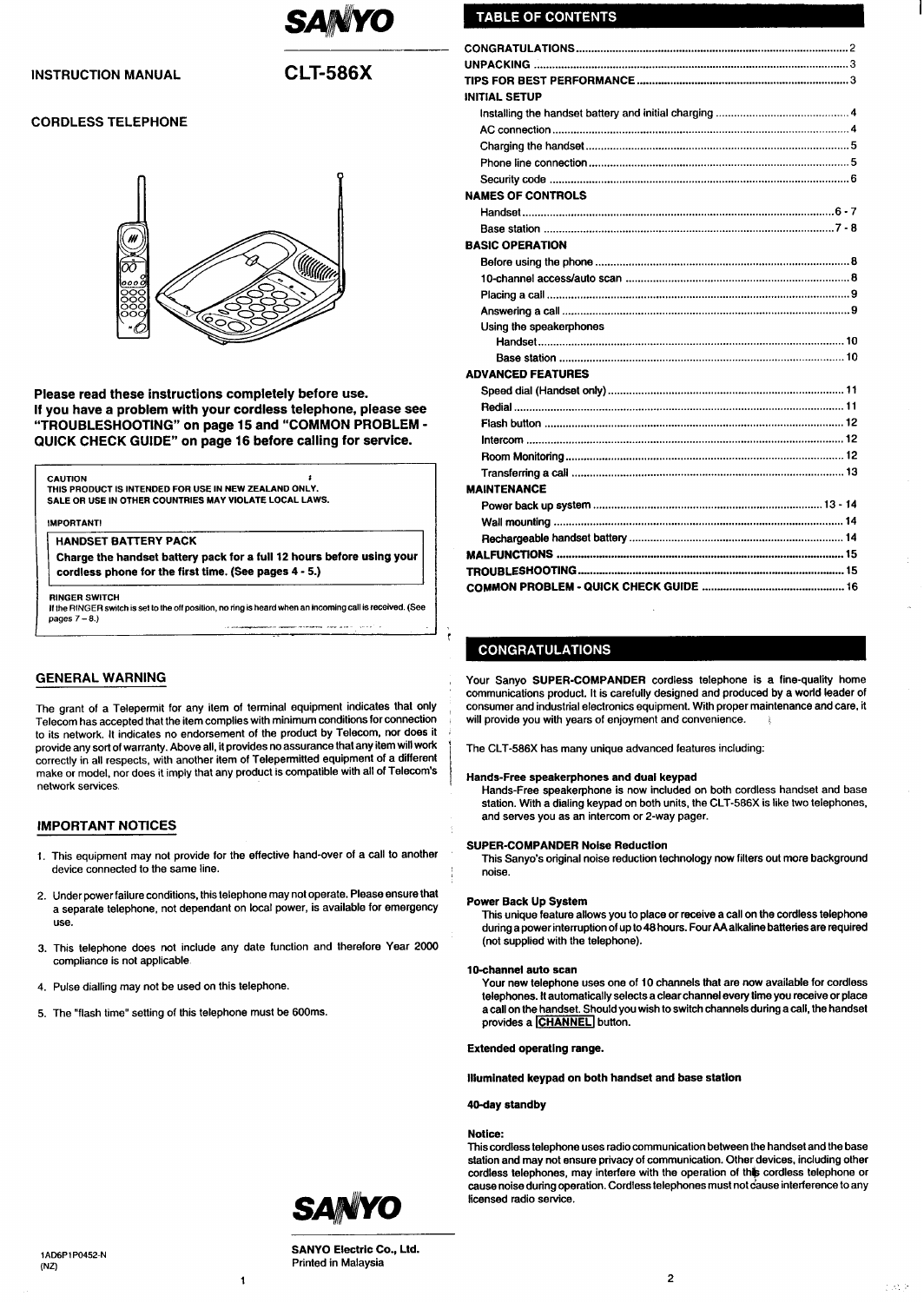

### **INSTRUCTION MANUAL**

## **CLT-586X**

### **CORDLESS TELEPHONE**



Please read these instructions completely before use. If you have a problem with your cordless telephone, please see "TROUBLESHOOTING" on page 15 and "COMMON PROBLEM -QUICK CHECK GUIDE" on page 16 before calling for service.

#### **CAUTION**

THIS PRODUCT IS INTENDED FOR USE IN NEW ZEALAND ONLY. SALE OR USE IN OTHER COUNTRIES MAY VIOLATE LOCAL LAWS.

**IMPORTANTI** 

#### **HANDSET BATTERY PACK**

Charge the handset battery pack for a full 12 hours before using your cordless phone for the first time. (See pages 4 - 5.)

**RINGER SWITCH** 

If the RINGER switch is set to the off position, no ring is heard when an incoming call is received. (See pages  $7 - 8$ .)

### **GENERAL WARNING**

The grant of a Telepermit for any item of terminal equipment indicates that only Telecom has accepted that the item complies with minimum conditions for connection to its network. It indicates no endorsement of the product by Telecom, nor does it provide any sort of warranty. Above all, it provides no assurance that any item will work correctly in all respects, with another item of Telepermitted equipment of a different make or model, nor does it imply that any product is compatible with all of Telecom's network services

### **IMPORTANT NOTICES**

- 1. This equipment may not provide for the effective hand-over of a call to another device connected to the same line.
- 2. Under power failure conditions, this telephone may not operate. Please ensure that a separate telephone, not dependant on local power, is available for emergency use.
- 3. This telephone does not include any date function and therefore Year 2000 compliance is not applicable.

 $\mathbf{I}$ 

- 4. Pulse dialling may not be used on this telephone.
- 5. The "flash time" setting of this telephone must be 600ms.

## **TABLE OF CONTENTS**

| <b>INITIAL SETUP</b>     |
|--------------------------|
|                          |
|                          |
|                          |
|                          |
|                          |
| <b>NAMES OF CONTROLS</b> |
|                          |
|                          |
| <b>BASIC OPERATION</b>   |
|                          |
|                          |
|                          |
|                          |
| Using the speakerphones  |
|                          |
|                          |
| <b>ADVANCED FEATURES</b> |
|                          |
|                          |
|                          |
|                          |
|                          |
|                          |
| <b>MAINTENANCE</b>       |
|                          |
|                          |
|                          |
|                          |
|                          |
|                          |

### **CONGRATULATIONS**

Your Sanyo SUPER-COMPANDER cordless telephone is a fine-quality home communications product. It is carefully designed and produced by a world leader of consumer and industrial electronics equipment. With proper maintenance and care, it will provide you with years of enjoyment and convenience.

The CLT-586X has many unique advanced features including:

#### Hands-Free speakerphones and dual keypad

Hands-Free speakerphone is now included on both cordless handset and base station. With a dialing keypad on both units, the CLT-586X is like two telephones, and serves you as an intercom or 2-way pager.

#### **SUPER-COMPANDER Noise Reduction**

This Sanyo's original noise reduction technology now filters out more background noise.

#### **Power Back Up System**

This unique feature allows you to place or receive a call on the cordless telephone during a power interruption of up to 48 hours. Four AA alkaline batteries are required (not supplied with the telephone).

#### 10-channel auto scan

Your new telephone uses one of 10 channels that are now available for cordless telephones. It automatically selects a clear channel every time you receive or place a call on the handset. Should you wish to switch channels during a call, the handset provides a CHANNEL button.

**Extended operating range.** 

Illuminated keypad on both handset and base station

#### 40-day standby

#### Notice:

This cordless telephone uses radio communication between the handset and the base station and may not ensure privacy of communication. Other devices, including other cordless telephones, may interfere with the operation of this cordless telephone or cause noise during operation. Cordiess telephones must not cause interference to any licensed radio service.



**SANYO Electric Co., Ltd.** Printed in Malaysia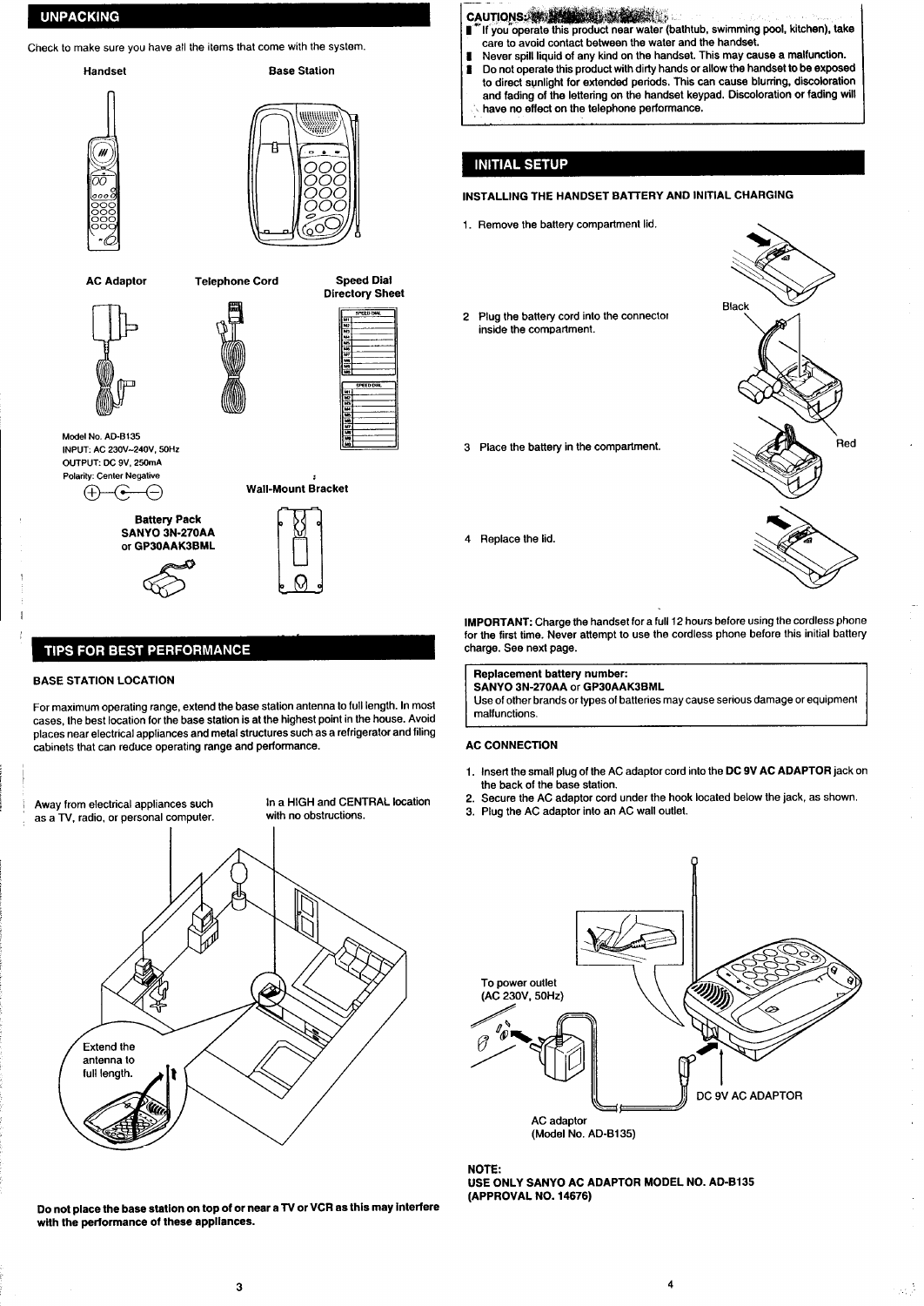### <span id="page-1-0"></span>**UNPACKING**

Check to make sure you have all the items that come with the system.



**Speed Dial Directory Sheet PEED DIA** 

Model No. AD-B135 INPUT: AC 230V~240V, 50Hz OUTPUT: DC 9V, 250mA Polarity: Center Negative  $\bigoplus$ ′€ ⋲



# **Wall-Mount Bracket**

## **TIPS FOR BEST PERFORMANCE**

#### **BASE STATION LOCATION**

For maximum operating range, extend the base station antenna to full length. In most cases, the best location for the base station is at the highest point in the house. Avoid places near electrical appliances and metal structures such as a refrigerator and filing cabinets that can reduce operating range and performance.

Away from electrical appliances such as a TV, radio, or personal computer. In a HIGH and CENTRAL location with no obstructions.



Do not place the base station on top of or near a TV or VCR as this may interfere with the performance of these appliances.

#### CAUTIONS: 35 MONTEGU.

- If you operate this product near water (bathtub, swimming pool, kitchen), take care to avoid contact between the water and the handset.
- Never spill liquid of any kind on the handset. This may cause a malfunction.
- Do not operate this product with dirty hands or allow the handset to be exposed to direct sunlight for extended periods. This can cause blurring, discoloration and fading of the lettering on the handset keypad. Discoloration or fading will have no effect on the telephone performance.

### **INITIAL SETUP**

#### INSTALLING THE HANDSET BATTERY AND INITIAL CHARGING

- 1. Remove the battery compartment lid.
- Plug the battery cord into the connector  $\overline{2}$ inside the compartment.
- 3 Place the battery in the compartment.



4 Replace the lid.

IMPORTANT: Charge the handset for a full 12 hours before using the cordless phone for the first time. Never attempt to use the cordless phone before this initial battery charge. See next page.

Replacement battery number:

SANYO 3N-270AA or GP30AAK3BML Use of other brands or types of batteries may cause serious damage or equipment malfunctions

#### **AC CONNECTION**

- 1. Insert the small plug of the AC adaptor cord into the DC 9V AC ADAPTOR jack on the back of the base station.
- 2. Secure the AC adaptor cord under the hook located below the jack, as shown.
- 3. Plug the AC adaptor into an AC wall outlet.



NOTE: USE ONLY SANYO AC ADAPTOR MODEL NO. AD-B135<br>(APPROVAL NO. 14676)

 $\omega_{\rm{eff}}$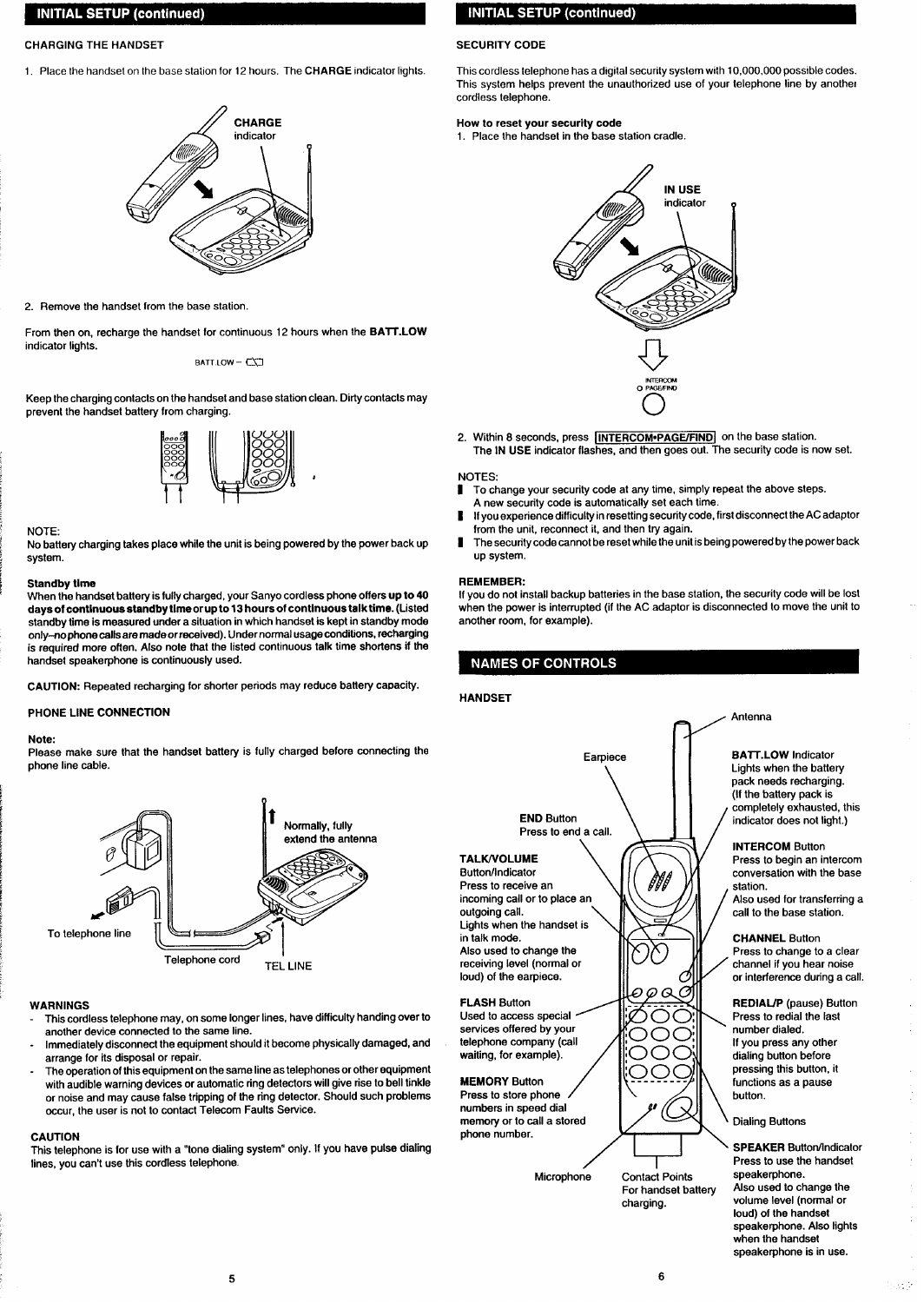### <span id="page-2-0"></span>**CHARGING THE HANDSET SECURITY CODE**

**1, Place thehandset onthebase station for12 hours, The CHARGE indicator lights.**



**2. Remove thehandset from the base stalion.**

**From then on, recharge the handset for continuous 12 hours when the BATT.LOW indicator lights.**

t3ATl **LOW– ~\~**

**Keep the charging contacts on the handset and base station clean. Dirty contacts may prevent the handset battery from charging.**



#### **NOTE:**

**No battery charging takes place while the unit is being powered by the power backup system.**

#### **Standby time**

**When the handset battery is fully charged, your Sanyo cordless phone offers up to 40 days of continuous stsndby time or up to 13 hours of continuous taiktime. (Listed standby time is measured under a situation in which handset is kept in standby mode only-no phone tails are made orreceived). Under normal usage condtions, recharging is required more offen. Also note that the iisted continuous talk time shortens if the handset speakerphone is confinuousiy used.**

 $CAUTION:$  **Repeated recharging for shorter periods may reduce battery capacity.** 

#### **PHONE LiNE CONNECTION**

#### **Note:**

**Piease make sure that the handset battery is fuily charged before connecting the phone iine cable.**



#### **WARNINGS**

- **This cordiess telephone may, on some longer lines, have difficulty handing over to another device connected to the same tine.**
- **Immediately disconnect the equipment should** it**become physically damaged, and arrange for its disposai or repair.**
- **The operation ofthis equipment on the same iine as telephones or other equipment with audible warning devices or automatic ring detectors wiii give rise to bell tinkle or noise and may cause fafse tripping of the ring detector. Should such problems occur, the user is not to contact Teiecom Faults Service.**

#### **CAUTION**

**This teiephone is for use with a "tone diafing system" only. If you have pulse diating lines, you can't use this cordless telephone.**

### **INITIAL SETUP (continued)**

**This cordless telephone has a digitai security system with 10,000,000 posslbie codes. This system helps prevent the unauthorized use of your telephone iinebyanothe{ cordless telephone.**

#### **How to reset your security code**

**1. Place thehandset inthabase station cradle.**



**2. Within 8seconds, press llNTERCOM.PAGEIFINDl onthebasestafion. The tN USE indicator flashes, and then goes out. The security code is now set.**

#### **NOTES:**

- **I Tochange yoursecutity codeatany time, simply repeat theabove steps.**
- **A new security code is automatically set each time.**
- **1f you experience difficulty in resetting security code, first disconnect the AC adaptor from the unit, reconnect it, and then try again.**
- **# Thesecuritycodecannotbe resetwhiletheunitisbeing poweredbythepowerback up system.**

#### **REMEMBER:**

**If you do not install backup batteries in the base station, the security code will be lost when the power is interrupted (if the AC adaptor is disconnected to move the unit to another room, for exampie).**

### **NAMES OF CONTROLS**

#### **HANDSET**



**H**

**Microphone Contaci Points**

 $\angle$ 

\ **SpEAKER ButfOtiindicatOr Press to use the handset speakerphone. Also used to changa the voiume level (normal or loud) of the handset speakerphone. Aiso iights when the handset speakerphone is in use.**

**For handset battery charging.**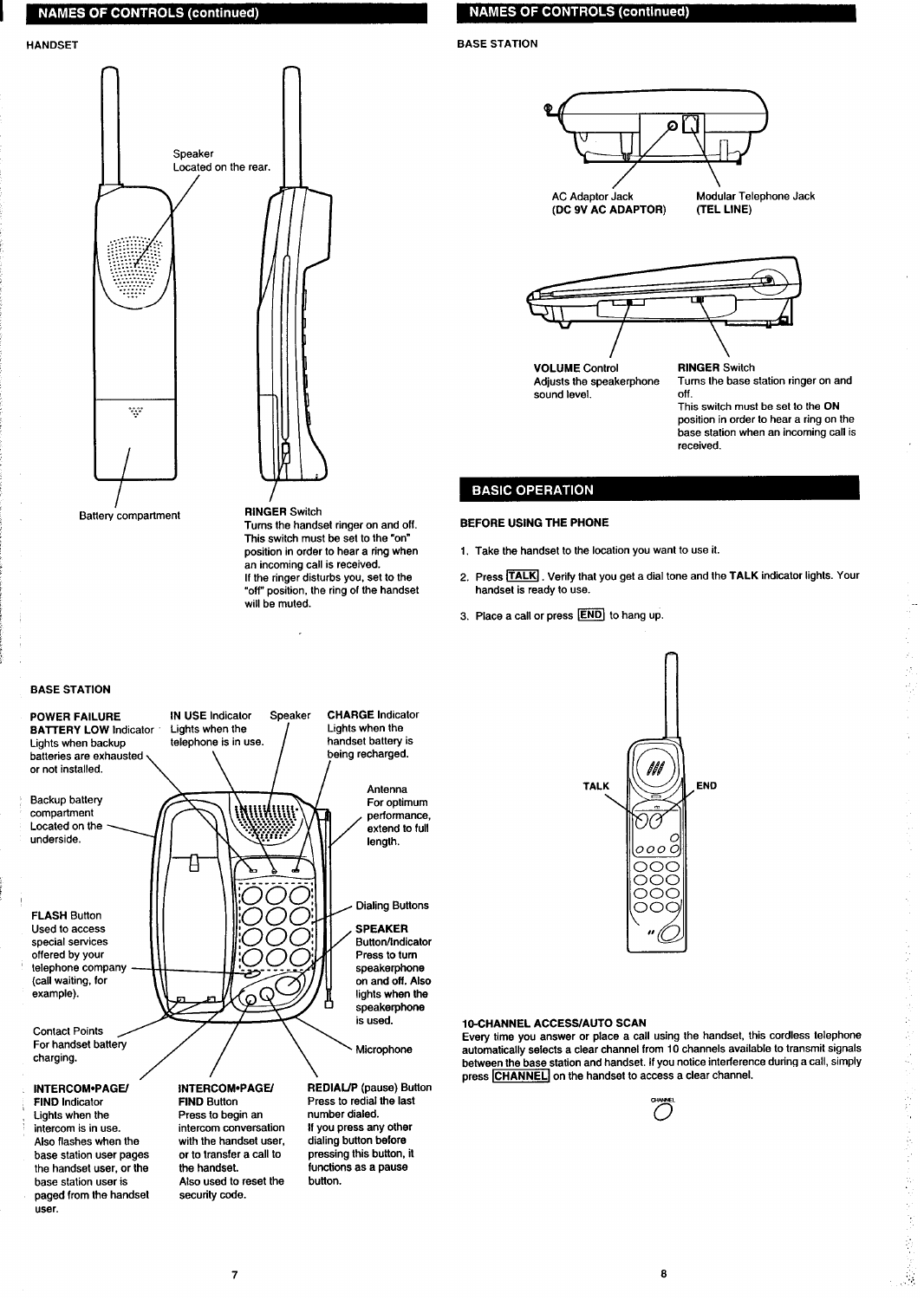### **NAMES OF CONTROLS (continued)**

<span id="page-3-0"></span>I



**Turns the handset ringer on and off. Thie switch must be eet to the "on" position in order to hear a ring when an incoming call is received. If the ringer disturbs you, set to the "off"position, the ring of the handset will be muted.**

### **NAMES OF CONTROLS (continued)**

### **HANDSET BASE STATION**





**VOLUME Control RINGER Switch**  $s$ ound level.

**Adjusts the speakerphone Turns the base station ringer on and**

**This switch must be set to the ON position in order to hear a ring on the base station when an incoming call is received.**

### **BASIC OPERATION**

#### **BEFORE USING THE PHONE**

- **1. Take the handset to the location you want to use it.**
- **2. Press ~. Verify that you get a dial tone and the TALK indicator tights. Your handset is ready to use.**
- **3. Place a call or press ~ to hang up.**

### **BASE STATION**



**FIND Indicator Lights when the intercom is in use. Also flashes when the base station user pages the handset user, or the base station user is paged from the handset user.**

**Press to begin an intercom conversation with the handset user, or to transfer a call to the handset. Atso used to reset the security code. button.**

**For optimum performance, extend to full**

**Dialing Buttons**

**Button/Indicator Press to turn speakerphone on and off. Also lights when the speakerphone**

**REDIAfJP (pause) Button Press to redial the last number dialed. If you press any other dialing button before pressing this button, it functions as a pause**



Every time you answer or place a call using the nandset, this cordies telephone<br>For handset battery the state of place and the state of the state of the state of the state of the state of th<br>share in the state of the state **between the base station and handset. If you notice interference during a call, simply**  $\overline{h}$  **CHANNEL** on the handset to access a clear channel.



:.., ,,.,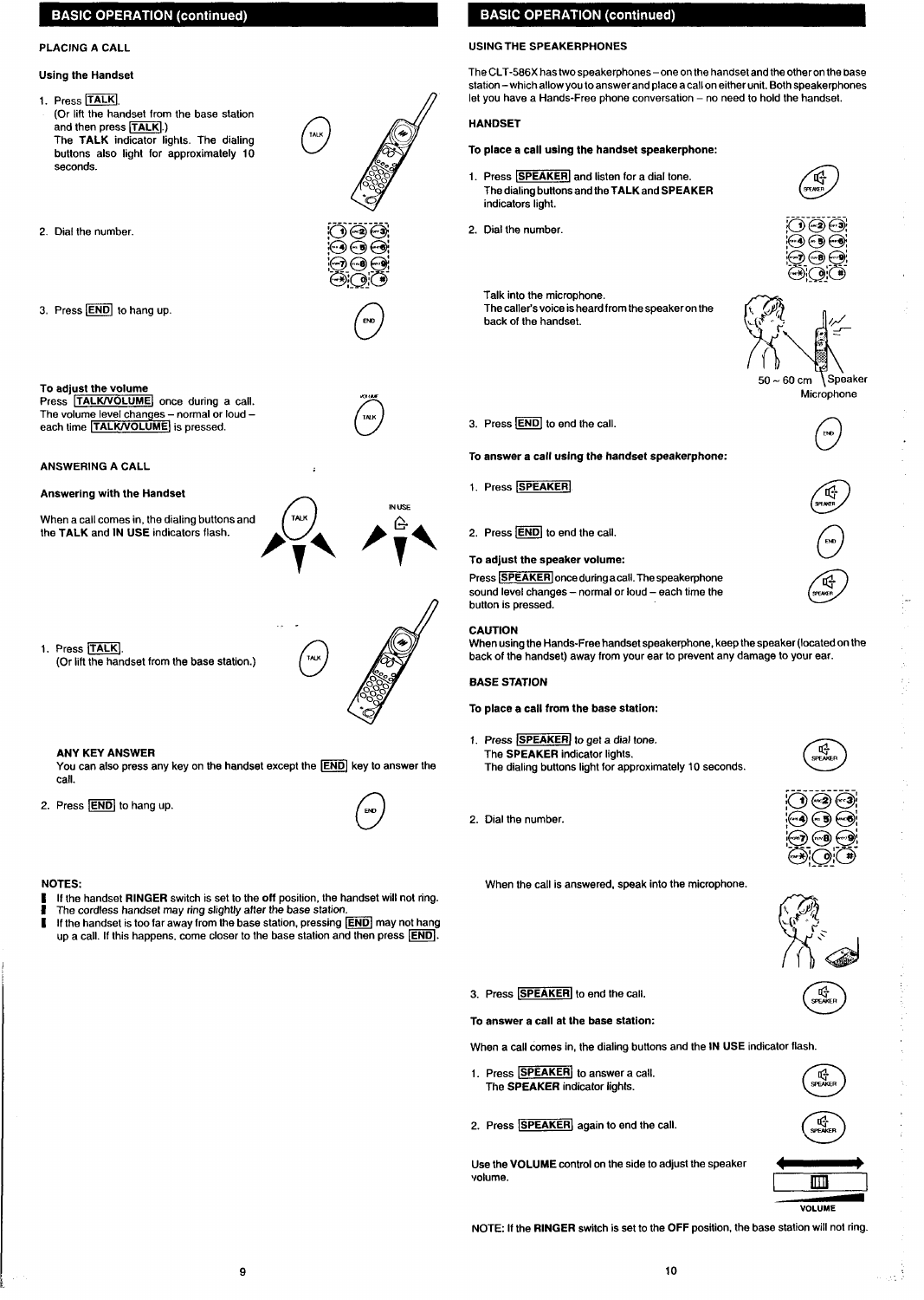### <span id="page-4-0"></span>**BASIC OPERATION (continued)**

### **Using the Handset**

- 1. Press<sup>[TALK]</sup>. **(Or lift the handset from the base station** and then press **TALK**).) **The TALK indicator lights. The dialing buttons also light for approximately 10 seconds.**
- 



3. Press **END** to hang up.

#### **To adjuat the volume**

**Press [TALWOLUME[ once during a call. The volume level changes – normal or loud – each time ITALWVOLUME] is pressed.**

#### **ANSWERING A CALL**

#### **Answering with the Handset**

**When a** call comes in, the dialing buttons and  $\int$   $\pi$ AD **the TALK and IN USE indicators flash.**

**1. Press TALK (Or liftthe handset from the base station.)** o**'w**

#### **ANY KEY ANSWER**

**You can also press any key on the handset except the @ key to answer the cafl. 2.** Press  $\overline{END}$  to hang up.

**P\**

.. .



**IN USE** 

**/**

#### **NOTES:**

- **I If the handset RINGER switch is set 10the off position, the handset will not ring.**
- **I The cordfess handset may ring slightly after the base station.**
- **I If the handset is too faraway from the base station, pressing ~ may not hang**  $u$ <sub>p</sub> a call. If this happens. come closer to the base station and then press **END**.

### **BASIC OPERATION (continued)**

### **PLACING A CALL USING THE SPEAKERPHONES**

**The CLT-586X has two speakerphones – one on the handset and the other on the Dase station – which allow you to answer and place a call on either unit. Both speakerphones let you have a Hands-Free phone conversation – no need to hold the handset.**

### **HANDSET**

#### **To place a call using the handset speakerphone:**

- 1. Press **SPEAKER** and listen for a dial tone. **The dialing buttons and the TALK and SPEAKER indicators light.**
- **2. Dial the number.**

3. Press **END** to end the call.

2. **Press**  $\boxed{\text{END}}$  to end the call. **To adjust the apeeker volume: <sup>u</sup>**

1. Press SPEAKER



(…a)

**Talk into the microphone. The caller's voice isheard from the speaker on the**  $b$ ack of the handset.

**To answer a call using the handset speakerphone:**

Press **[SPEAKER]** once during a call. The speakerphone







**CAUTION When usingthe Hands-Free handset speakerphone, keep the speaker (located on the back of the handset) away from your ear to prevent any damage to your ear.**

#### **BASE STATION**

**button is pressed.**

**To place e cell from the baee station:**

1. Press **SPEAKER** to get a dial tone. **The SPEAKER indicator lights. The dialing buttons light for approximately 10 seconds.**

**2. Oial the number.**



**When the call is answered, speak into the microphone.**



**3.** Press **SPEAKER** to end the call.

#### **To enswer a call at the bese station:**

- When a call comes in, the dialing buttons and the **IN USE** indicator flash.<br>1. Press **SPEAKER** to answer a call.<br>The SPEAKER indicator lights. **1.** Press **SPEAKER** to answer a call.<br>The **SPEAKER** indicator lights.
- 2. Press **SPEAKER** again to end the call.

**Use the VOLUME control on the side to adjust the speaker 4 b volume.**

**NOTE: If the RINGER switch is set to the OFF position, the base station will not ring.**



**VOLUME**

**1~1**

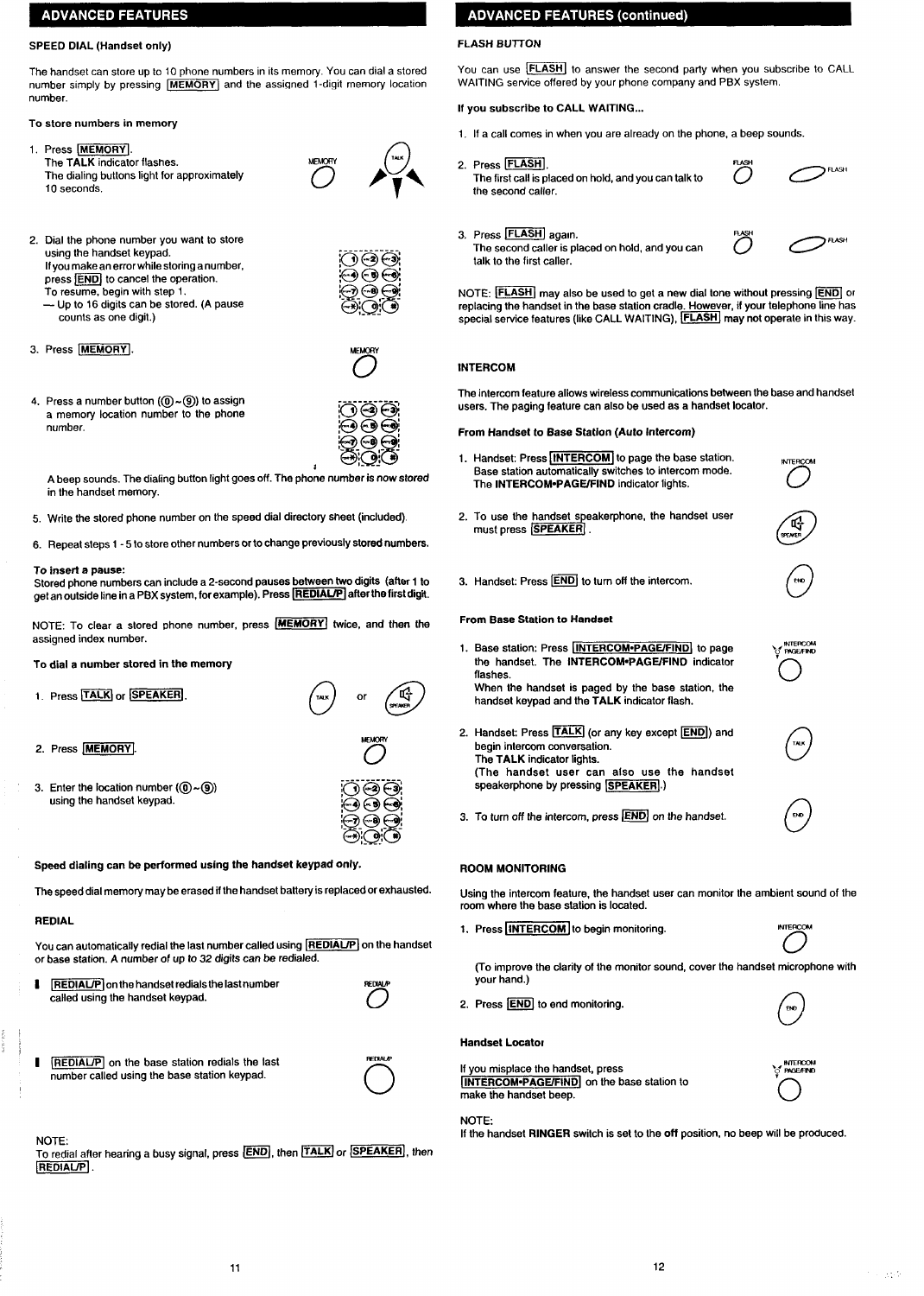### <span id="page-5-0"></span>**ADVANCED FEATURES**

### **SPEED DIAL (Handset only)**

**The handset can store up to 10 phone numbers in its memory. You can dial a stored**  $number$  simply by pressing  $[MEMORY]$  and the assigned 1-digit memory location **number.**

### **To store numbers in memory**

1. Press **MEMORY**. **The TALK indicator flashes. The dialing buttons light for approximately 10 seconds.**



- **2. Oial the phone number you want to store using** the handset keypad.<br> **If** you make an arraculation of the combon sumbor  $\widehat{(\cdot)}$ **If you make an error while storing a number,**<br>**press FNDI** to cancel the operation
	- $\sqrt{p}$  **(example 1) c cancel** the operation.

**To resume, begin with step 1. — Up to 16 digits can be stored. (A pause counts as one digit.)**



3. Press MEMORY.



ക്ക് ( بۇ

**4. Press a number button (@)-@)) 10assign a memory location number to the ~hone number.**

**A beep sounds. The dialing buffon light goes off. The pho;e number is now stored in the handset memory.**

**5. Write the stored phone number on the speed dial directoty sheet (included)**

**6. Repeat steps 1-5 to store other numbers orto change previously stored numbers.**

#### **To inserf a pause**

**Stored phone numbers can include a 2-second pauses between two digits (aftar 1 to get an outside fine ina PBX system, for example). Preee [~] after the first digit.**

**NOTE: To clear a stored phone number, press 1~1 twice, and then the assigned index number.**

#### **To dial a number stored in the memory**





2. Press MEMORY

**3. Enter the location number ((@-@) using the handset keypad.**



**Speed dialing can be performed using the handset keypad only.**

**The speed dial memory may be erased ifthe handset battery is replaced or exhausted.**

#### **REDIAL**

**You can automatically redial the last number called using ~[ on the handset or base station. A number of up to 32 digits can be redialed.**

- **i REDIAL/P** on the handset redials the last number  $i$  called using the handset keypad.
- **I REDIAL/P** on the base station redials the last **number called using the base station keypad.**

### **NOTE:**

**I**

 $T$ **o** redial after hearing a busy signal, press **END**, then **FALK** or **SPEAKER**, then **REDIAL/P** 

## **ADVANCED FEATURES (continued)**

### **FLASH BUTTON**

**You can use -[ to answer the second party when you subscribe to CALL WAITING service offered by your phone company and PBX system.**

#### **If you subscribe to CALL WAITING...**

- **1, If a call comes in when vou are already on the phone, a beep sounds.**
- 2. Press **FLASH**.
	- **The first call is placed on hold, and you can talk to the second caller.**

3. Press **FLASH** again. **The second caller is placed on hold, and you can talk to the first caller.**



**FLASH** 

**~ Q..{**

 $N$  **DTE: FLASH** may also be used to get a new dial tone without pressing **END** or **replacing the handset in the base station cradle. However, if your telephone line has special service features (like CALL WAITING), [-[ may not operate in this way.**

### **INTERCOM**

**The intercom feature allows wireless communications between the base and handset users. The paging feature can also be used as a handset locator.**

#### **From Handaet to Base Station (Auto Intercom)**

- 1. Handset: Press *MITERCOM* to page the base station. **Base station automatically switches to intercom mode. The lNTERCOM=PAGE/FIND indicator fights.**
- **2. To use the handset s eakerphone, the handset user must press IsPEAKER**
- 3. **Handset: Press**  $\overline{[END]}$  to turn off the intercom.

#### **From Beaa Station to Handset**

- **1. Basa station: Press IlNTERCOMOPAGE/FINDl to page the handset. The lNTERCOM.PAGE/FIND indicator flashes. When the handset is paged by the base station, the handset keypad and the TALK indicator flash.**
- 2. Handset: Press **TALK** (or any key except **END**) and **begin intercom conversation. The TALK indicator fights. (The handset user can also use the handset**  $s$ peakerphone by pressing  $s$ **PEAKER**.)
- **3. To turn off the intercom, press ~ on the handset.**

#### **ROOM MONITORING**

**Using the intercom feature, the handset user can monitor the ambient sound of the room where the base station is located.**

**1.** Press **INTERCOM** to begin monitoring.



**INTERCOM** 

**@**

**, MTERCOM ~—**

**2.** Press **END** to end monitoring.

#### **Handset Locator**

**If you misplace the handset, press**  $\begin{bmatrix} \n\text{INTERCOM-PAGE/FIND} \\
\text{make the handset been.}\n\end{bmatrix}$  on the base station to

#### **NOTE**

**If the handset RINGER switch is set to the off position, no beep will be produced.**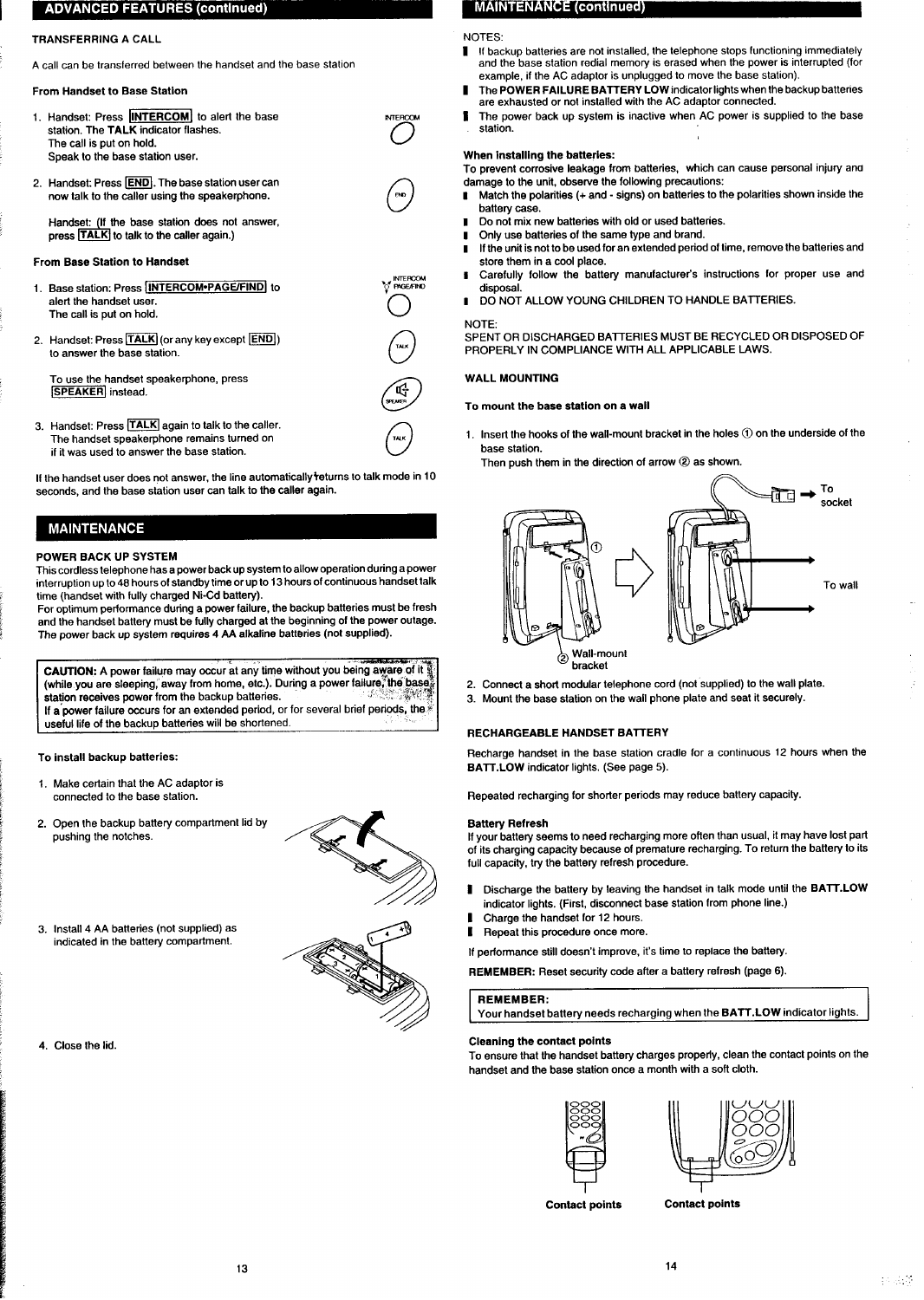### **ADVANCED FEATURES (continued)**

#### **TRANSFERRING A CALL**

<span id="page-6-0"></span> $\blacksquare$ 

**A call can be transferred between the handset and the base station**

#### **From Handaet to Baae Station**

- **1.** Handset: Press **[INTERCOM**] to alert the base **station. The TALK indicator flashes. The call is put on hold. Speak to the base station user.**
- **2. Handsat Press ~. The base station user can now talk to the caller using the speakerphone.**

**Handset If the base statian doas not answer, press TALK** to talk to the caller again.)

#### **From Base Station to Handset**

- **1.** Base station: Press **INTERCOM•PAGE/FIND** to  $\sum_{i=1}^{N} P_i^{\text{G}}$ **alerl the handset user.** Dass station. These <u>includes in each mass</u> is<br>alert the handset user.<br>The call is put on hold.
- **2, Handsak Press ~ (or any key except ~) the call is put on hold.**<br> **Handset: Press <b>TALK** (or any key except  $\overline{[END]}$ )<br>
to answer the base station.

**To use the handset speakerphone, press ~ instead.**

**3 Handset: Press = again to talk to tha caller. n The handset speakerphone remains turned on** u **if it was used to answer the base station.**

**If the handset user does not answer, the line automatically +eturns to talk mods in 10 seconds, and the base station user can talk to the caller again.**

### **MAINTENANCE**

#### **POWER BACK UP SYSTEM**

**This cordless telephone has a power backup system to alfow operation during a power interruption up1048 hours of standby time or up to 13 hours of continuous handset talk time (handset with fully charged Ni-Cd battery).**

**For optimum performance during a power failure, tha backup batferias must be fresh and the handset battery must be fully charged at the beginning of the power outage. The power back up system requirea 4 AA alkafine batteriea (not supplied).**

CAUTION: A power failure may occur at any time without you being aware of it (while you are sleeping, away from home, etc.). During a power failure, the base  **<b>receives power** from the backup batteries. **If a power failure occurs for an extendad period, or for several brief periqls, the ~ useful life of tha backup batteries will be shortened. .,**

**To install backup batteries:**

- 1. Make certain that the AC adaptor is **connected to the base station".**
- **2. Open Iha backup battery compartment lid by pushing the notches.**



**3. Install 4 AA batteries (not supplied) as indicated in the baftey compaflment.**

**4. Close the lid.**

### **MAINTENANCE (continued)**

#### **NOTES:**

- **I ffbackup batteries arenotinstaIled, thetelephone stops functioning immediately andthebasestafion redialmemory iserased when the power is interrupted (for example, if the AC adaptor is unplugged to move the base station).**
- **I The POWER FAILURE BAITERY LOW indicator lightswhen the backup batteries are exhausted or not installed with the AC adaptor connected.**
- **1 The power back UP system is inactive when AC power is supplied to the base station.**

#### **When installing the batteries:**

**To prevent corrosive leakage from batteries, which can causa personal injury ana damaae to the unit. observe tha followina mecaufions:**

- t **M~ch the polarities (+ and - signs) o; batteries to the polarities shown inside the battery** case.
- **I Do not mix new batteries with old or used bafferias.**
- **I Only use batteries of the same type and brand.**
- **I Ifthe unitis not to be used for an extended period of time, remove the batteries and store them in a cool place.**
- **I Carefully follow the battery manufacturer's instructions for proper use and disposal.**

**SPENT OR DISCHARGED BAITERIES MUST BE RECYCLED OR DISPOSED OF**

**I DO NOT ALLOW YOUNG CHILDREN TO HANDLE BATTERIES.**

## **PROPERLY IN COMPLIANCE WITH ALL APPLICABLE LAWS.**

**NOTE:**

#### **WALL MOUNTING**

#### **To mount the base station on a waif**

 $TAK$ **1. Insert the hooks of the wall-mount bracket in the holes@) on the underside of the base station.**

**Then push them in the direction of arrow @as shown.**



- **2. Connect a short modular tefephone cord (not suppfied) ta the wall plate.**
- **3. Mount the base station on the wall phone plate and seat it securely.**

#### **RECHARGEABLE HANDSET BATTERY**

**Recharge handset in the base station cradle for a continuous 12 hours when the BAIT. LOW indicator lights. (See page 5).**

**Repeated recharging for shorter periods may reduce battery capacity.**

#### **Battery Refresh**

**If your battary seems to naed recharging more often than usual, it may have lost part of its charging capacity because of premature recharging. To return the battery to its full capacity, try the battery refresh procedure.**

- **# Discharge the battery by feaving the handset in talk made until the BAIT. LOW indicator lights. (First, disconnect base station from phona line.)**
- **I Charge the handset for 12 hours.**
- **[ Repeat this procedure once more.**

If performance still doesn't improve, it's time to replace the battery.

**REMEMBER: Reset security code after a battery refresh (page 6).**

#### **REMEMBER:**

**Your handset battery needs recharging when the BATT.LOW indicator lights.**

#### **Cleaning the contact points**

**To ensure that the handset battery charges properfy, clean the contact points on the handset and tha base station once a month with a soft cloth.**